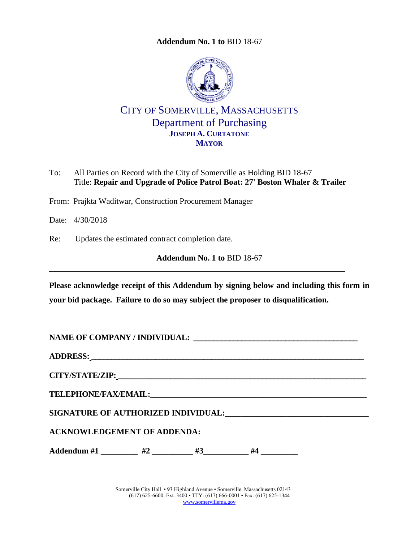**Addendum No. 1 to** [BID 18-67](#page-0-0)

<span id="page-0-0"></span>

CITY OF SOMERVILLE, MASSACHUSETTS Department of Purchasing **JOSEPH A. CURTATONE MAYOR**

- To: All Parties on Record with the City of Somerville as Holding BID 18-67 Title: **Repair and Upgrade of Police Patrol Boat: 27' Boston Whaler & Trailer**
- From: Prajkta Waditwar, Construction Procurement Manager

Date: 4/30/2018

Re: Updates the estimated contract completion date.

**Addendum No. 1 to** [BID 18-67](#page-0-0)

**Please acknowledge receipt of this Addendum by signing below and including this form in your bid package. Failure to do so may subject the proposer to disqualification.**

**NAME OF COMPANY / INDIVIDUAL: \_\_\_\_\_\_\_\_\_\_\_\_\_\_\_\_\_\_\_\_\_\_\_\_\_\_\_\_\_\_\_\_\_\_\_\_\_\_\_\_\_**

**ADDRESS: \_\_\_\_\_\_\_\_\_\_\_\_\_\_\_\_\_\_\_\_\_\_\_\_\_\_\_\_\_\_\_\_\_\_\_\_\_\_\_\_\_\_\_\_\_\_\_\_\_\_\_\_\_\_\_\_\_\_\_\_\_\_\_\_\_\_\_\_**

**CITY/STATE/ZIP: \_\_\_\_\_\_\_\_\_\_\_\_\_\_\_\_\_\_\_\_\_\_\_\_\_\_\_\_\_\_\_\_\_\_\_\_\_\_\_\_\_\_\_\_\_\_\_\_\_\_\_\_\_\_\_\_\_\_\_\_\_\_**

 $\bf{TELEPHONE/FAX/EMAIL:}$ 

SIGNATURE OF AUTHORIZED INDIVIDUAL: **\_\_\_\_\_\_\_\_\_\_\_\_\_\_\_\_\_\_\_\_\_\_\_\_\_\_\_** 

**ACKNOWLEDGEMENT OF ADDENDA:**

Addendum #1 \_\_\_\_\_\_\_\_\_ #2 \_\_\_\_\_\_\_\_ #3\_\_\_\_\_\_\_\_\_ #4 \_\_\_\_\_\_\_\_\_

Somerville City Hall • 93 Highland Avenue • Somerville, Massachusetts 02143 (617) 625-6600, Ext. 3400 • TTY: (617) 666-0001 • Fax: (617) 625-1344 [www.somervillema.gov](http://www.somervillema.gov/)